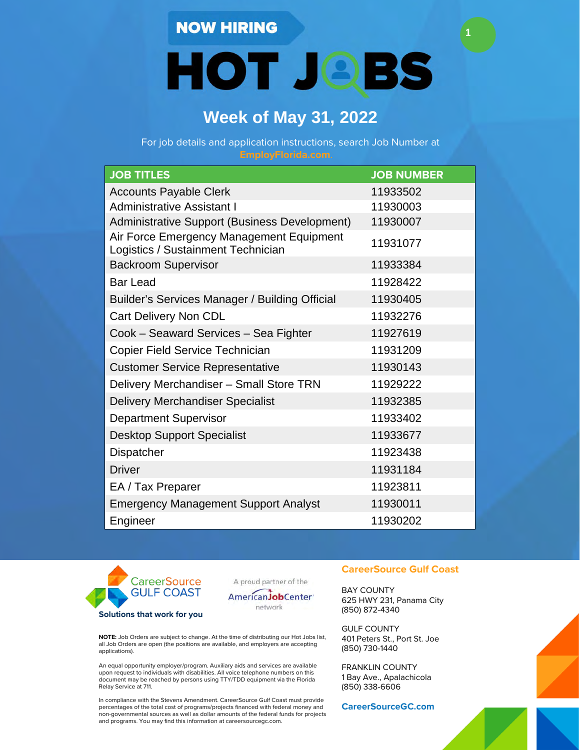**HOT JOBS** 

**1**

# **Week of May 31, 2022**

For job details and application instructions, search Job Number at

| <b>JOB TITLES</b>                                                              | <b>JOB NUMBER</b> |
|--------------------------------------------------------------------------------|-------------------|
| <b>Accounts Payable Clerk</b>                                                  | 11933502          |
| <b>Administrative Assistant I</b>                                              | 11930003          |
| Administrative Support (Business Development)                                  | 11930007          |
| Air Force Emergency Management Equipment<br>Logistics / Sustainment Technician | 11931077          |
| <b>Backroom Supervisor</b>                                                     | 11933384          |
| <b>Bar Lead</b>                                                                | 11928422          |
| Builder's Services Manager / Building Official                                 | 11930405          |
| Cart Delivery Non CDL                                                          | 11932276          |
| Cook - Seaward Services - Sea Fighter                                          | 11927619          |
| Copier Field Service Technician                                                | 11931209          |
| <b>Customer Service Representative</b>                                         | 11930143          |
| Delivery Merchandiser - Small Store TRN                                        | 11929222          |
| <b>Delivery Merchandiser Specialist</b>                                        | 11932385          |
| <b>Department Supervisor</b>                                                   | 11933402          |
| <b>Desktop Support Specialist</b>                                              | 11933677          |
| Dispatcher                                                                     | 11923438          |
| <b>Driver</b>                                                                  | 11931184          |
| EA / Tax Preparer                                                              | 11923811          |
| <b>Emergency Management Support Analyst</b>                                    | 11930011          |
| Engineer                                                                       | 11930202          |



A proud partner of the



**NOTE:** Job Orders are subject to change. At the time of distributing our Hot Jobs list, all Job Orders are open (the positions are available, and employers are accepting applications).

An equal opportunity employer/program. Auxiliary aids and services are available upon request to individuals with disabilities. All voice telephone numbers on this document may be reached by persons using TTY/TDD equipment via the Florida Relay Service at 711.

In compliance with the Stevens Amendment. CareerSource Gulf Coast must provide percentages of the total cost of programs/projects financed with federal money and non-governmental sources as well as dollar amounts of the federal funds for projects and programs. You may find this information at careersourcegc.com.

#### **CareerSource Gulf Coast**

BAY COUNTY 625 HWY 231, Panama City (850) 872-4340

GULF COUNTY 401 Peters St., Port St. Joe (850) 730-1440

FRANKLIN COUNTY 1 Bay Ave., Apalachicola (850) 338-6606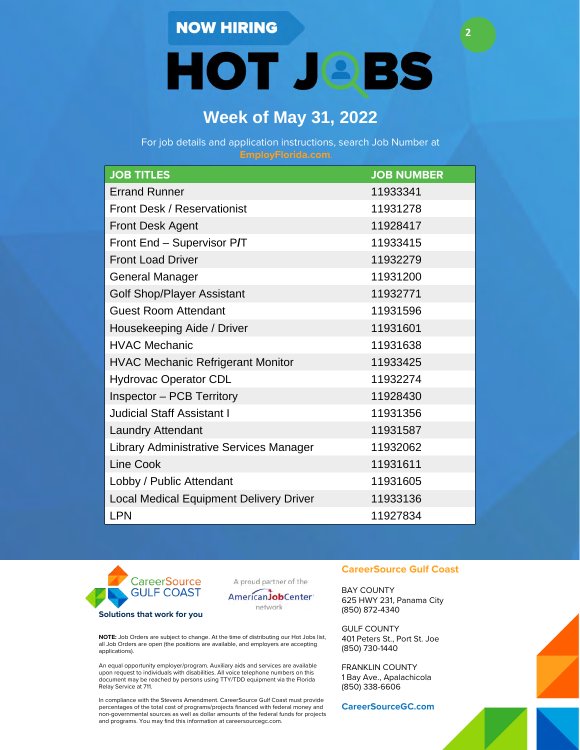**HOT JOBS** 

**2**

## **Week of May 31, 2022**

For job details and application instructions, search Job Number at

| <b>JOB TITLES</b>                              | <b>JOB NUMBER</b> |
|------------------------------------------------|-------------------|
| <b>Errand Runner</b>                           | 11933341          |
| <b>Front Desk / Reservationist</b>             | 11931278          |
| <b>Front Desk Agent</b>                        | 11928417          |
| Front End - Supervisor P/T                     | 11933415          |
| <b>Front Load Driver</b>                       | 11932279          |
| <b>General Manager</b>                         | 11931200          |
| <b>Golf Shop/Player Assistant</b>              | 11932771          |
| <b>Guest Room Attendant</b>                    | 11931596          |
| Housekeeping Aide / Driver                     | 11931601          |
| <b>HVAC Mechanic</b>                           | 11931638          |
| <b>HVAC Mechanic Refrigerant Monitor</b>       | 11933425          |
| <b>Hydrovac Operator CDL</b>                   | 11932274          |
| <b>Inspector - PCB Territory</b>               | 11928430          |
| <b>Judicial Staff Assistant I</b>              | 11931356          |
| <b>Laundry Attendant</b>                       | 11931587          |
| <b>Library Administrative Services Manager</b> | 11932062          |
| <b>Line Cook</b>                               | 11931611          |
| Lobby / Public Attendant                       | 11931605          |
| <b>Local Medical Equipment Delivery Driver</b> | 11933136          |
| <b>LPN</b>                                     | 11927834          |



A proud partner of the



**NOTE:** Job Orders are subject to change. At the time of distributing our Hot Jobs list, all Job Orders are open (the positions are available, and employers are accepting applications).

An equal opportunity employer/program. Auxiliary aids and services are available upon request to individuals with disabilities. All voice telephone numbers on this document may be reached by persons using TTY/TDD equipment via the Florida Relay Service at 711.

In compliance with the Stevens Amendment. CareerSource Gulf Coast must provide percentages of the total cost of programs/projects financed with federal money and non-governmental sources as well as dollar amounts of the federal funds for projects and programs. You may find this information at careersourcegc.com.

#### **CareerSource Gulf Coast**

BAY COUNTY 625 HWY 231, Panama City (850) 872-4340

GULF COUNTY 401 Peters St., Port St. Joe (850) 730-1440

FRANKLIN COUNTY 1 Bay Ave., Apalachicola (850) 338-6606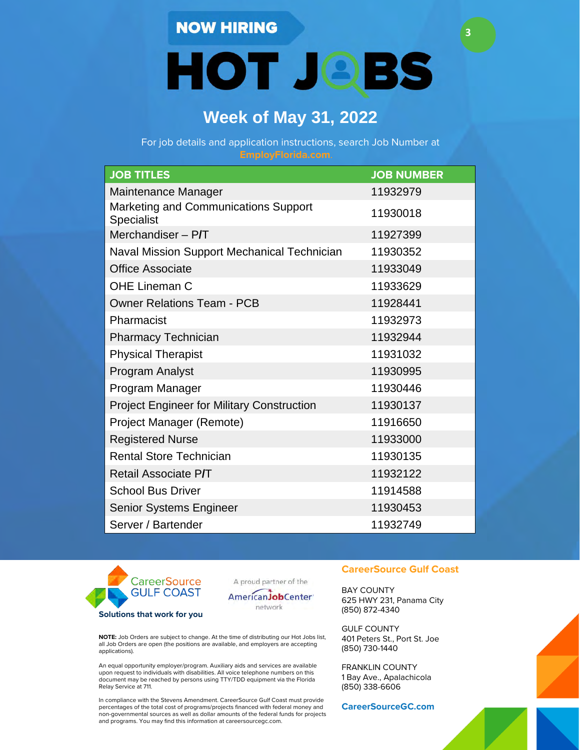**HOT JOBS** 

**3**

# **Week of May 31, 2022**

For job details and application instructions, search Job Number at

| <b>JOB TITLES</b>                                  | <b>JOB NUMBER</b> |
|----------------------------------------------------|-------------------|
| Maintenance Manager                                | 11932979          |
| Marketing and Communications Support<br>Specialist | 11930018          |
| Merchandiser $-$ P/T                               | 11927399          |
| Naval Mission Support Mechanical Technician        | 11930352          |
| <b>Office Associate</b>                            | 11933049          |
| <b>OHE Lineman C</b>                               | 11933629          |
| <b>Owner Relations Team - PCB</b>                  | 11928441          |
| Pharmacist                                         | 11932973          |
| <b>Pharmacy Technician</b>                         | 11932944          |
| <b>Physical Therapist</b>                          | 11931032          |
| <b>Program Analyst</b>                             | 11930995          |
| Program Manager                                    | 11930446          |
| <b>Project Engineer for Military Construction</b>  | 11930137          |
| Project Manager (Remote)                           | 11916650          |
| <b>Registered Nurse</b>                            | 11933000          |
| <b>Rental Store Technician</b>                     | 11930135          |
| Retail Associate P/T                               | 11932122          |
| <b>School Bus Driver</b>                           | 11914588          |
| Senior Systems Engineer                            | 11930453          |
| Server / Bartender                                 | 11932749          |



A proud partner of the



**NOTE:** Job Orders are subject to change. At the time of distributing our Hot Jobs list, all Job Orders are open (the positions are available, and employers are accepting applications).

An equal opportunity employer/program. Auxiliary aids and services are available upon request to individuals with disabilities. All voice telephone numbers on this document may be reached by persons using TTY/TDD equipment via the Florida Relay Service at 711.

In compliance with the Stevens Amendment. CareerSource Gulf Coast must provide percentages of the total cost of programs/projects financed with federal money and non-governmental sources as well as dollar amounts of the federal funds for projects and programs. You may find this information at careersourcegc.com.

#### **CareerSource Gulf Coast**

BAY COUNTY 625 HWY 231, Panama City (850) 872-4340

GULF COUNTY 401 Peters St., Port St. Joe (850) 730-1440

FRANKLIN COUNTY 1 Bay Ave., Apalachicola (850) 338-6606